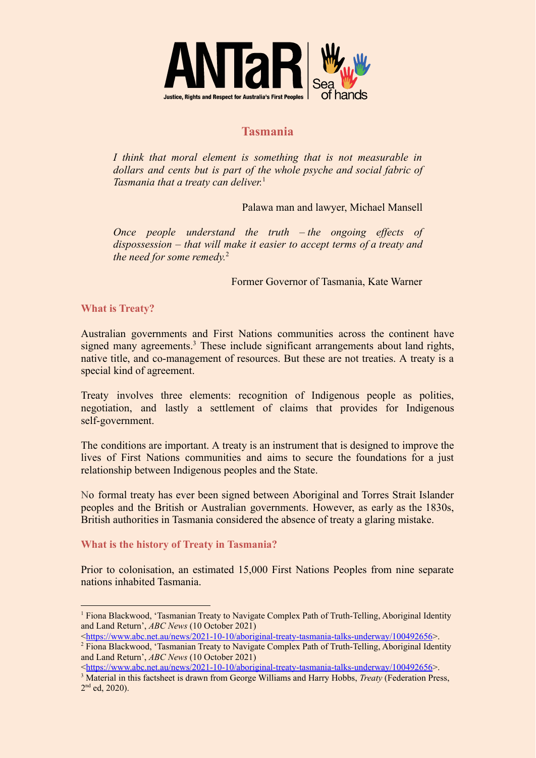

## **Tasmania**

*I think that moral element is something that is not measurable in dollars and cents but is part of the whole psyche and social fabric of Tasmania that a treaty can deliver.* 1

Palawa man and lawyer, Michael Mansell

*Once people understand the truth – the ongoing effects of dispossession – that will make it easier to accept terms of a treaty and the need for some remedy.* 2

Former Governor of Tasmania, Kate Warner

**What is Treaty?**

Australian governments and First Nations communities across the continent have signed many agreements.<sup>3</sup> These include significant arrangements about land rights, native title, and co-management of resources. But these are not treaties. A treaty is a special kind of agreement.

Treaty involves three elements: recognition of Indigenous people as polities, negotiation, and lastly a settlement of claims that provides for Indigenous self-government.

The conditions are important. A treaty is an instrument that is designed to improve the lives of First Nations communities and aims to secure the foundations for a just relationship between Indigenous peoples and the State.

No formal treaty has ever been signed between Aboriginal and Torres Strait Islander peoples and the British or Australian governments. However, as early as the 1830s, British authorities in Tasmania considered the absence of treaty a glaring mistake.

## **What is the history of Treaty in Tasmania?**

Prior to colonisation, an estimated 15,000 First Nations Peoples from nine separate nations inhabited Tasmania.

<sup>1</sup> Fiona Blackwood, 'Tasmanian Treaty to Navigate Complex Path of Truth-Telling, Aboriginal Identity and Land Return', *ABC News* (10 October 2021)

<sup>&</sup>lt;<https://www.abc.net.au/news/2021-10-10/aboriginal-treaty-tasmania-talks-underway/100492656>>.

<sup>2</sup> Fiona Blackwood, 'Tasmanian Treaty to Navigate Complex Path of Truth-Telling, Aboriginal Identity and Land Return', *ABC News* (10 October 2021)

<sup>&</sup>lt;<https://www.abc.net.au/news/2021-10-10/aboriginal-treaty-tasmania-talks-underway/100492656>>.

<sup>3</sup> Material in this factsheet is drawn from George Williams and Harry Hobbs, *Treaty* (Federation Press, 2<sup>nd</sup> ed, 2020).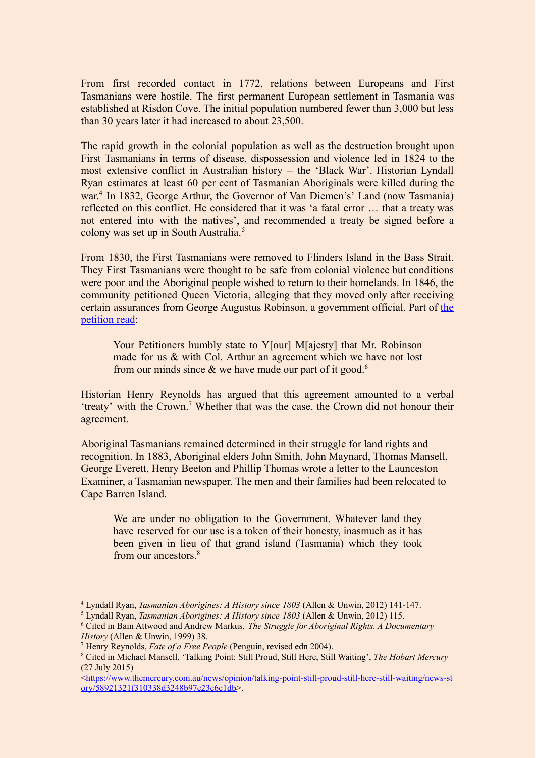From first recorded contact in 1772, relations between Europeans and First Tasmanians were hostile. The first permanent European settlement in Tasmania was established at Risdon Cove. The initial population numbered fewer than 3,000 but less than 30 years later it had increased to about 23,500.

The rapid growth in the colonial population as well as the destruction brought upon First Tasmanians in terms of disease, dispossession and violence led in 1824 to the most extensive conflict in Australian history – the 'Black War'. Historian Lyndall Ryan estimates at least 60 per cent of Tasmanian Aboriginals were killed during the war. 4 In 1832, George Arthur, the Governor of Van Diemen's' Land (now Tasmania) reflected on this conflict. He considered that it was 'a fatal error … that a treaty was not entered into with the natives', and recommended a treaty be signed before a colony was set up in South Australia.<sup>5</sup>

From 1830, the First Tasmanians were removed to Flinders Island in the Bass Strait. They First Tasmanians were thought to be safe from colonial violence but conditions were poor and the Aboriginal people wished to return to their homelands. In 1846, the community petitioned Queen Victoria, alleging that they moved only after receiving certain assurances from George Augustus Robinson, a government official. Part of [the](https://www.nma.gov.au/__data/assets/pdf_file/0010/698734/her-majesty-queen-victoria.pdf) [petition read](https://www.nma.gov.au/__data/assets/pdf_file/0010/698734/her-majesty-queen-victoria.pdf):

Your Petitioners humbly state to Y[our] M[ajesty] that Mr. Robinson made for us & with Col. Arthur an agreement which we have not lost from our minds since  $\&$  we have made our part of it good.<sup>6</sup>

Historian Henry Reynolds has argued that this agreement amounted to a verbal 'treaty' with the Crown.<sup>7</sup> Whether that was the case, the Crown did not honour their agreement.

Aboriginal Tasmanians remained determined in their struggle for land rights and recognition. In 1883, Aboriginal elders John Smith, John Maynard, Thomas Mansell, George Everett, Henry Beeton and Phillip Thomas wrote a letter to the Launceston Examiner, a Tasmanian newspaper. The men and their families had been relocated to Cape Barren Island.

We are under no obligation to the Government. Whatever land they have reserved for our use is a token of their honesty, inasmuch as it has been given in lieu of that grand island (Tasmania) which they took from our ancestors.<sup>8</sup>

<sup>4</sup> Lyndall Ryan, *Tasmanian Aborigines: A History since 1803* (Allen & Unwin, 2012) 141-147.

<sup>5</sup> Lyndall Ryan, *Tasmanian Aborigines: A History since 1803* (Allen & Unwin, 2012) 115.

<sup>6</sup> Cited in Bain Attwood and Andrew Markus, *The Struggle for Aboriginal Rights. A Documentary History* (Allen & Unwin, 1999) 38.

<sup>7</sup> Henry Reynolds, *Fate of a Free People* (Penguin, revised edn 2004).

<sup>8</sup> Cited in Michael Mansell, 'Talking Point: Still Proud, Still Here, Still Waiting', *The Hobart Mercury* (27 July 2015)

<sup>&</sup>lt;[https://www.themercury.com.au/news/opinion/talking-point-still-proud-still-here-still-waiting/news-st](https://www.themercury.com.au/news/opinion/talking-point-still-proud-still-here-still-waiting/news-story/58921321f310338d3248b97e23c6c1db) [ory/58921321f310338d3248b97e23c6c1db>](https://www.themercury.com.au/news/opinion/talking-point-still-proud-still-here-still-waiting/news-story/58921321f310338d3248b97e23c6c1db).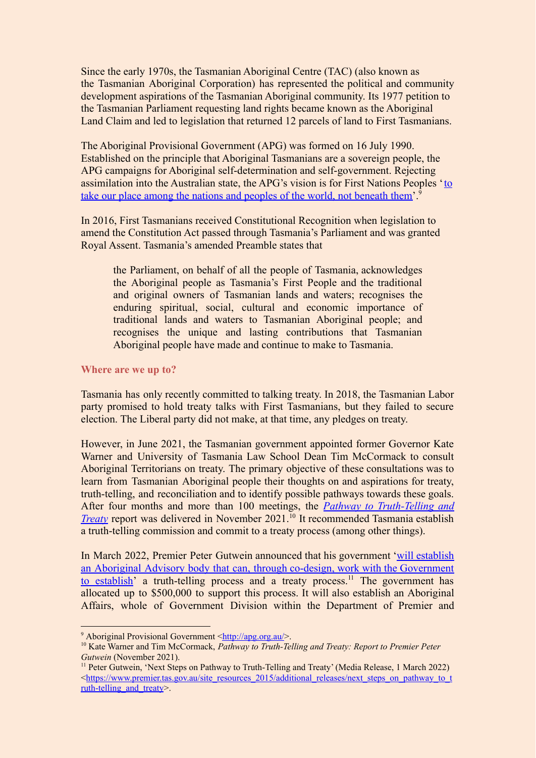Since the early 1970s, the Tasmanian Aboriginal Centre (TAC) (also known as the Tasmanian Aboriginal Corporation) has represented the political and community development aspirations of the Tasmanian Aboriginal community. Its 1977 petition to the Tasmanian Parliament requesting land rights became known as the Aboriginal Land Claim and led to legislation that returned 12 parcels of land to First Tasmanians.

The Aboriginal Provisional Government (APG) was formed on 16 July 1990. Established on the principle that Aboriginal Tasmanians are a sovereign people, the APG campaigns for Aboriginal self-determination and self-government. Rejecting assimilation into the Australian state, the APG's vision is for First Nations Peoples '[to](http://apg.org.au/) [take our place among the nations and peoples of the world, not beneath them'](http://apg.org.au/).<sup>9</sup>

In 2016, First Tasmanians received Constitutional Recognition when legislation to amend the Constitution Act passed through Tasmania's Parliament and was granted Royal Assent. Tasmania's amended Preamble states that

the Parliament, on behalf of all the people of Tasmania, acknowledges the Aboriginal people as Tasmania's First People and the traditional and original owners of Tasmanian lands and waters; recognises the enduring spiritual, social, cultural and economic importance of traditional lands and waters to Tasmanian Aboriginal people; and recognises the unique and lasting contributions that Tasmanian Aboriginal people have made and continue to make to Tasmania.

## **Where are we up to?**

Tasmania has only recently committed to talking treaty. In 2018, the Tasmanian Labor party promised to hold treaty talks with First Tasmanians, but they failed to secure election. The Liberal party did not make, at that time, any pledges on treaty.

However, in June 2021, the Tasmanian government appointed former Governor Kate Warner and University of Tasmania Law School Dean Tim McCormack to consult Aboriginal Territorians on treaty. The primary objective of these consultations was to learn from Tasmanian Aboriginal people their thoughts on and aspirations for treaty, truth-telling, and reconciliation and to identify possible pathways towards these goals. After four months and more than 100 meetings, the *Pathway to [Truth-Telling](https://www.dpac.tas.gov.au/__data/assets/pdf_file/0005/627242/Pathway_to_Truth-Telling_and_Treaty_251121.pdf) and* **[Treaty](https://www.dpac.tas.gov.au/__data/assets/pdf_file/0005/627242/Pathway_to_Truth-Telling_and_Treaty_251121.pdf)** report was delivered in November 2021.<sup>10</sup> It recommended Tasmania establish a truth-telling commission and commit to a treaty process (among other things).

In March 2022, Premier Peter Gutwein announced that his government 'will [establish](https://www.premier.tas.gov.au/site_resources_2015/additional_releases/next_steps_on_pathway_to_truth-telling_and_treaty) an Aboriginal Advisory body that can, through co-design, work with the [Government](https://www.premier.tas.gov.au/site_resources_2015/additional_releases/next_steps_on_pathway_to_truth-telling_and_treaty) to [establish](https://www.premier.tas.gov.au/site_resources_2015/additional_releases/next_steps_on_pathway_to_truth-telling_and_treaty)' a truth-telling process and a treaty process.<sup>11</sup> The government has allocated up to \$500,000 to support this process. It will also establish an Aboriginal Affairs, whole of Government Division within the Department of Premier and

<sup>9</sup> Aboriginal Provisional Government [<http://apg.org.au/](http://apg.org.au/)>.

<sup>10</sup> Kate Warner and Tim McCormack, *Pathway to Truth-Telling and Treaty: Report to Premier Peter Gutwein* (November 2021).

<sup>11</sup> Peter Gutwein, 'Next Steps on Pathway to Truth-Telling and Treaty' (Media Release, 1 March 2022)  $\lt$ [https://www.premier.tas.gov.au/site\\_resources\\_2015/additional\\_releases/next\\_steps\\_on\\_pathway\\_to\\_t](https://www.premier.tas.gov.au/site_resources_2015/additional_releases/next_steps_on_pathway_to_truth-telling_and_treaty) [ruth-telling\\_and\\_treaty](https://www.premier.tas.gov.au/site_resources_2015/additional_releases/next_steps_on_pathway_to_truth-telling_and_treaty)>.